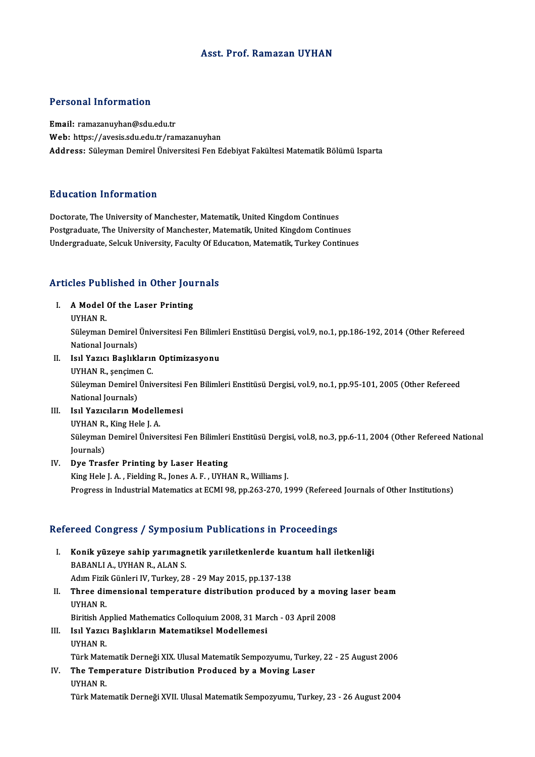### Asst. Prof. Ramazan UYHAN

### Personal Information

Email: ramazanuyhan@sdu.edu.tr Web: https://avesis.sdu.edu.tr/ramazanuyhan Address: Süleyman Demirel Üniversitesi Fen Edebiyat Fakültesi Matematik Bölümü Isparta

#### Education Information

Doctorate, The University of Manchester, Matematik, United Kingdom Continues Postgraduate, The University of Manchester, Matematik, United Kingdom Continues Undergraduate, Selcuk University, Faculty Of Education, Matematik, Turkey Continues

# Articles Published in Other Journals

Tricles Published in Other Jou<br>I. A Model Of the Laser Printing<br>IWHAN P. I. A Model Of the Laser Printing<br>UYHAN R.

A Model Of the Laser Printing<br>UYHAN R.<br>Süleyman Demirel Üniversitesi Fen Bilimleri Enstitüsü Dergisi, vol.9, no.1, pp.186-192, 2014 (Other Refereed<br>National Journale) UYHAN R.<br>Süleyman Demirel<br>National Journals)<br>Joul Yourn Bookkl Süleyman Demirel Üniversitesi Fen Bilimle<br>National Journals)<br>II. IIsıl Yazıcı Başlıkların Optimizasyonu<br>IIVHAN B. Sonsimen C

- National Journals)<br>Isıl Yazıcı Başlıklarır<br>UYHAN R., şençimen C.<br>Sülayman Domirol Ünir Isıl Yazıcı Başlıkların Optimizasyonu<br>UYHAN R., şençimen C.<br>Süleyman Demirel Üniversitesi Fen Bilimleri Enstitüsü Dergisi, vol.9, no.1, pp.95-101, 2005 (Other Refereed<br>National Journale) UYHAN R., şençime<br>Süleyman Demirel<br>National Journals)<br>Joul Yoziquların M Süleyman Demirel Üniversitesi<br>National Journals)<br>III. II. Isul Yazıcıların Modellemesi<br>II. II. IVIAN B. King Hele L.A
- National Journals)<br>III. Isil Yazicilarin Modellemesi<br>UYHAN R., King Hele J. A. Isıl Yazıcıların Modellemesi<br>UYHAN R., King Hele J. A.<br>Süleyman Demirel Üniversitesi Fen Bilimleri Enstitüsü Dergisi, vol.8, no.3, pp.6-11, 2004 (Other Refereed National UYHAN R.<br>Süleyman<br>Journals)<br>Due Tras IV. Dye Trasfer Printing by Laser Heating
- King Hele J. A., Fielding R., Jones A. F., UYHAN R., Williams J. Progress in Industrial Matematics at ECMI 98, pp.263-270, 1999 (Refereed Journals of Other Institutions)

### Refereed Congress / Symposium Publications in Proceedings

- efereed Congress / Symposium Publications in Proceedings<br>I. Konik yüzeye sahip yarımagnetik yarıiletkenlerde kuantum hall iletkenliği<br>RABANU LA JIVHAN RALAN S RABANLI A., UYHAN R., ALAN S.<br>BABANLI A., UYHAN R., ALAN S.<br>Adım Fizik Cünleri IV. Turkey. 23 Konik yüzeye sahip yarımagnetik yarıiletkenlerde kual<br>BABANLI A., UYHAN R., ALAN S.<br>Adım Fizik Günleri IV, Turkey, 28 - 29 May 2015, pp.137-138<br>Three dimensional temperature distribution produced BABANLI A., UYHAN R., ALAN S.<br>Adım Fizik Günleri IV, Turkey, 28 - 29 May 2015, pp.137-138<br>II. Three dimensional temperature distribution produced by a moving laser beam<br>II.YUAN B
- Adım Fizik<br>**Three dir**<br>UYHAN R.<br>Piritish An Three dimensional temperature distribution produced by a movi<br>UYHAN R.<br>Biritish Applied Mathematics Colloquium 2008, 31 March - 03 April 2008<br>Isıl Yazısı Paslıkların Matematiksel Madellemesi UYHAN R.<br>Biritish Applied Mathematics Colloquium 2008, 31 Mar<br>III. II. Isıl Yazıcı Başlıkların Matematiksel Modellemesi<br>II. II. IVHAN P
- Biritish Ap<br>Isıl Yazıcı<br>UYHAN R.<br>Türk Mate Isıl Yazıcı Başlıkların Matematiksel Modellemesi<br>UYHAN R.<br>Türk Matematik Derneği XIX. Ulusal Matematik Sempozyumu, Turkey, 22 - 25 August 2006<br>The Temperature Distribution Brodused by a Moving Laser. UYHAN R.<br>Türk Matematik Derneği XIX. Ulusal Matematik Sempozyumu, Turke<br>IV. The Temperature Distribution Produced by a Moving Laser<br>UYHAN R.
- Türk Mate<br><mark>The Tem<sub>l</sub><br>UYHAN R.</mark><br>Türk Mate

Türk Matematik Derneği XVII. Ulusal Matematik Sempozyumu, Turkey, 23 - 26 August 2004